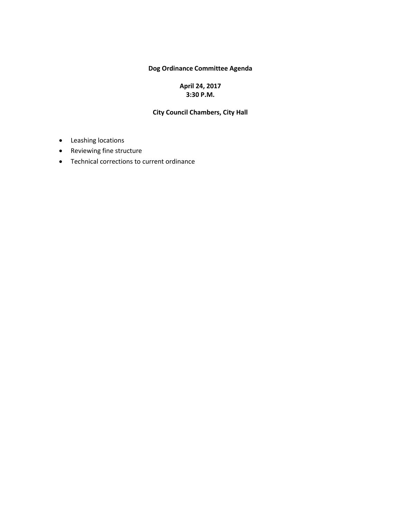### **Dog Ordinance Committee Agenda**

### **April 24, 2017 3:30 P.M.**

#### **City Council Chambers, City Hall**

- Leashing locations
- Reviewing fine structure
- Technical corrections to current ordinance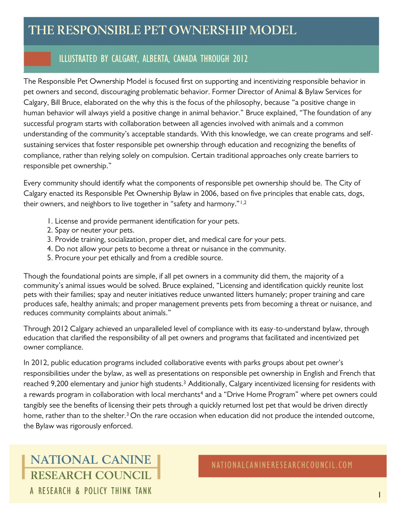# **THE RESPONSIBLE PET OWNERSHIP MODEL**

# ILLUSTRATED BY CALGARY, ALBERTA, CANADA THROUGH 2012

The Responsible Pet Ownership Model is focused first on supporting and incentivizing responsible behavior in pet owners and second, discouraging problematic behavior. Former Director of Animal & Bylaw Services for Calgary, Bill Bruce, elaborated on the why this is the focus of the philosophy, because "a positive change in human behavior will always yield a positive change in animal behavior." Bruce explained, "The foundation of any successful program starts with collaboration between all agencies involved with animals and a common understanding of the community's acceptable standards. With this knowledge, we can create programs and selfsustaining services that foster responsible pet ownership through education and recognizing the benefits of compliance, rather than relying solely on compulsion. Certain traditional approaches only create barriers to responsible pet ownership."

Every community should identify what the components of responsible pet ownership should be. The City of Calgary enacted its Responsible Pet Ownership Bylaw in 2006, based on five principles that enable cats, dogs, their owners, and neighbors to live together in "safety and harmony."1,2

- 1. License and provide permanent identification for your pets.
- 2. Spay or neuter your pets.
- 3. Provide training, socialization, proper diet, and medical care for your pets.
- 4. Do not allow your pets to become a threat or nuisance in the community.
- 5. Procure your pet ethically and from a credible source.

Though the foundational points are simple, if all pet owners in a community did them, the majority of a community's animal issues would be solved. Bruce explained, "Licensing and identification quickly reunite lost pets with their families; spay and neuter initiatives reduce unwanted litters humanely; proper training and care produces safe, healthy animals; and proper management prevents pets from becoming a threat or nuisance, and reduces community complaints about animals."

Through 2012 Calgary achieved an unparalleled level of compliance with its easy-to-understand bylaw, through education that clarified the responsibility of all pet owners and programs that facilitated and incentivized pet owner compliance.

In 2012, public education programs included collaborative events with parks groups about pet owner's responsibilities under the bylaw, as well as presentations on responsible pet ownership in English and French that reached 9,200 elementary and junior high students.<sup>3</sup> Additionally, Calgary incentivized licensing for residents with a rewards program in collaboration with local merchants<sup>4</sup> and a "Drive Home Program" where pet owners could tangibly see the benefits of licensing their pets through a quickly returned lost pet that would be driven directly home, rather than to the shelter.<sup>3</sup> On the rare occasion when education did not produce the intended outcome, the Bylaw was rigorously enforced.

# **NATIONAL CANINE RESEARCH COUNCIL** A RESEARCH & POLICY THINK TANK

NATIONALCANINERESEARCHCOUNCIL.COM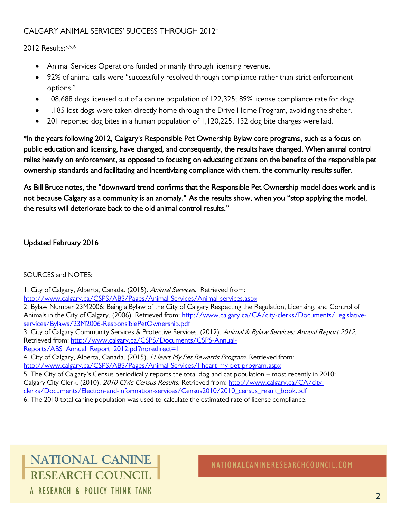# CALGARY ANIMAL SERVICES' SUCCESS THROUGH 2012\*

#### 2012 Results:3,5,6

- Animal Services Operations funded primarily through licensing revenue.
- 92% of animal calls were "successfully resolved through compliance rather than strict enforcement options."
- 108,688 dogs licensed out of a canine population of 122,325; 89% license compliance rate for dogs.
- 1,185 lost dogs were taken directly home through the Drive Home Program, avoiding the shelter.
- 201 reported dog bites in a human population of 1,120,225. 132 dog bite charges were laid.

\*In the years following 2012, Calgary's Responsible Pet Ownership Bylaw core programs, such as a focus on public education and licensing, have changed, and consequently, the results have changed. When animal control relies heavily on enforcement, as opposed to focusing on educating citizens on the benefits of the responsible pet ownership standards and facilitating and incentivizing compliance with them, the community results suffer.

As Bill Bruce notes, the "downward trend confirms that the Responsible Pet Ownership model does work and is not because Calgary as a community is an anomaly." As the results show, when you "stop applying the model, the results will deteriorate back to the old animal control results."

## Updated February 2016

### SOURCES and NOTES:

1. City of Calgary, Alberta, Canada. (2015). Animal Services. Retrieved from: <http://www.calgary.ca/CSPS/ABS/Pages/Animal-Services/Animal-services.aspx>

2. Bylaw Number 23M2006: Being a Bylaw of the City of Calgary Respecting the Regulation, Licensing, and Control of Animals in the City of Calgary. (2006). Retrieved from: [http://www.calgary.ca/CA/city-clerks/Documents/Legislative](http://www.calgary.ca/CA/city-clerks/Documents/Legislative-services/Bylaws/23M2006-ResponsiblePetOwnership.pdf)[services/Bylaws/23M2006-ResponsiblePetOwnership.pdf](http://www.calgary.ca/CA/city-clerks/Documents/Legislative-services/Bylaws/23M2006-ResponsiblePetOwnership.pdf)

3. City of Calgary Community Services & Protective Services. (2012). Animal & Bylaw Services: Annual Report 2012. Retrieved from: [http://www.calgary.ca/CSPS/Documents/CSPS-Annual-](http://www.calgary.ca/CSPS/Documents/CSPS-Annual-Reports/ABS_Annual_Report_2012.pdf?noredirect=1)

[Reports/ABS\\_Annual\\_Report\\_2012.pdf?noredirect=1](http://www.calgary.ca/CSPS/Documents/CSPS-Annual-Reports/ABS_Annual_Report_2012.pdf?noredirect=1)

4. City of Calgary, Alberta, Canada. (2015). *I Heart My Pet Rewards Program.* Retrieved from: <http://www.calgary.ca/CSPS/ABS/Pages/Animal-Services/I-heart-my-pet-program.aspx>

5. The City of Calgary's Census periodically reports the total dog and cat population – most recently in 2010: Calgary City Clerk. (2010). 2010 Civic Census Results. Retrieved from[: http://www.calgary.ca/CA/city](http://www.calgary.ca/CA/city-clerks/Documents/Election-and-information-services/Census2010/2010_census_result_book.pdf)[clerks/Documents/Election-and-information-services/Census2010/2010\\_census\\_result\\_book.pdf](http://www.calgary.ca/CA/city-clerks/Documents/Election-and-information-services/Census2010/2010_census_result_book.pdf)

6. The 2010 total canine population was used to calculate the estimated rate of license compliance.

# **NATIONAL CANINE RESEARCH COUNCIL** A RESEARCH & POLICY THINK TANK

NATIONALCANINERESEARCHCOUNCIL.COM